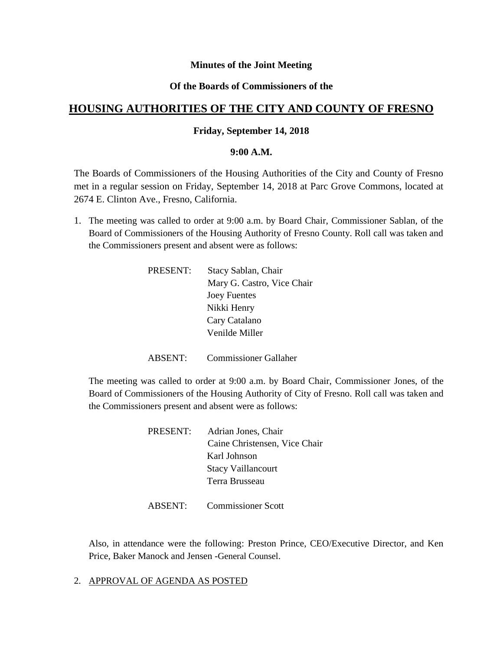# **Minutes of the Joint Meeting**

# **Of the Boards of Commissioners of the**

# **HOUSING AUTHORITIES OF THE CITY AND COUNTY OF FRESNO**

#### **Friday, September 14, 2018**

#### **9:00 A.M.**

The Boards of Commissioners of the Housing Authorities of the City and County of Fresno met in a regular session on Friday, September 14, 2018 at Parc Grove Commons, located at 2674 E. Clinton Ave., Fresno, California.

1. The meeting was called to order at 9:00 a.m. by Board Chair, Commissioner Sablan, of the Board of Commissioners of the Housing Authority of Fresno County. Roll call was taken and the Commissioners present and absent were as follows:

| PRESENT: | Stacy Sablan, Chair        |
|----------|----------------------------|
|          | Mary G. Castro, Vice Chair |
|          | <b>Joey Fuentes</b>        |
|          | Nikki Henry                |
|          | Cary Catalano              |
|          | Venilde Miller             |
|          |                            |

ABSENT: Commissioner Gallaher

The meeting was called to order at 9:00 a.m. by Board Chair, Commissioner Jones, of the Board of Commissioners of the Housing Authority of City of Fresno. Roll call was taken and the Commissioners present and absent were as follows:

| Adrian Jones, Chair           |
|-------------------------------|
| Caine Christensen, Vice Chair |
| Karl Johnson                  |
| <b>Stacy Vaillancourt</b>     |
| Terra Brusseau                |
|                               |

ABSENT: Commissioner Scott

Also, in attendance were the following: Preston Prince, CEO/Executive Director, and Ken Price, Baker Manock and Jensen -General Counsel.

2. APPROVAL OF AGENDA AS POSTED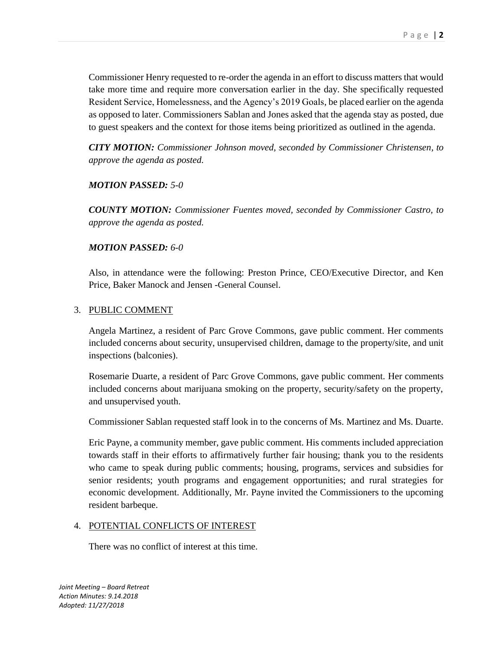Commissioner Henry requested to re-order the agenda in an effort to discuss matters that would take more time and require more conversation earlier in the day. She specifically requested Resident Service, Homelessness, and the Agency's 2019 Goals, be placed earlier on the agenda as opposed to later. Commissioners Sablan and Jones asked that the agenda stay as posted, due to guest speakers and the context for those items being prioritized as outlined in the agenda.

*CITY MOTION: Commissioner Johnson moved, seconded by Commissioner Christensen, to approve the agenda as posted.*

# *MOTION PASSED: 5-0*

*COUNTY MOTION: Commissioner Fuentes moved, seconded by Commissioner Castro, to approve the agenda as posted.*

### *MOTION PASSED: 6-0*

Also, in attendance were the following: Preston Prince, CEO/Executive Director, and Ken Price, Baker Manock and Jensen -General Counsel.

### 3. PUBLIC COMMENT

Angela Martinez, a resident of Parc Grove Commons, gave public comment. Her comments included concerns about security, unsupervised children, damage to the property/site, and unit inspections (balconies).

Rosemarie Duarte, a resident of Parc Grove Commons, gave public comment. Her comments included concerns about marijuana smoking on the property, security/safety on the property, and unsupervised youth.

Commissioner Sablan requested staff look in to the concerns of Ms. Martinez and Ms. Duarte.

Eric Payne, a community member, gave public comment. His comments included appreciation towards staff in their efforts to affirmatively further fair housing; thank you to the residents who came to speak during public comments; housing, programs, services and subsidies for senior residents; youth programs and engagement opportunities; and rural strategies for economic development. Additionally, Mr. Payne invited the Commissioners to the upcoming resident barbeque.

# 4. POTENTIAL CONFLICTS OF INTEREST

There was no conflict of interest at this time.

*Joint Meeting – Board Retreat Action Minutes: 9.14.2018 Adopted: 11/27/2018*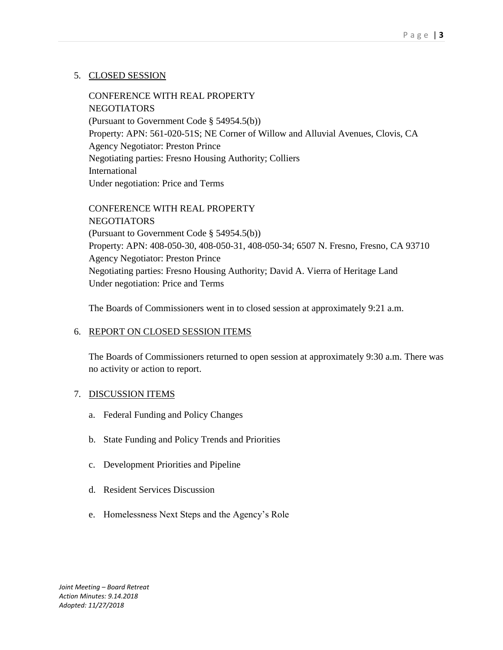# 5. CLOSED SESSION

CONFERENCE WITH REAL PROPERTY **NEGOTIATORS** (Pursuant to Government Code § 54954.5(b)) Property: APN: 561-020-51S; NE Corner of Willow and Alluvial Avenues, Clovis, CA Agency Negotiator: Preston Prince Negotiating parties: Fresno Housing Authority; Colliers International Under negotiation: Price and Terms

CONFERENCE WITH REAL PROPERTY **NEGOTIATORS** (Pursuant to Government Code § 54954.5(b)) Property: APN: 408-050-30, 408-050-31, 408-050-34; 6507 N. Fresno, Fresno, CA 93710 Agency Negotiator: Preston Prince Negotiating parties: Fresno Housing Authority; David A. Vierra of Heritage Land Under negotiation: Price and Terms

The Boards of Commissioners went in to closed session at approximately 9:21 a.m.

# 6. REPORT ON CLOSED SESSION ITEMS

The Boards of Commissioners returned to open session at approximately 9:30 a.m. There was no activity or action to report.

# 7. DISCUSSION ITEMS

- a. Federal Funding and Policy Changes
- b. State Funding and Policy Trends and Priorities
- c. Development Priorities and Pipeline
- d. Resident Services Discussion
- e. Homelessness Next Steps and the Agency's Role